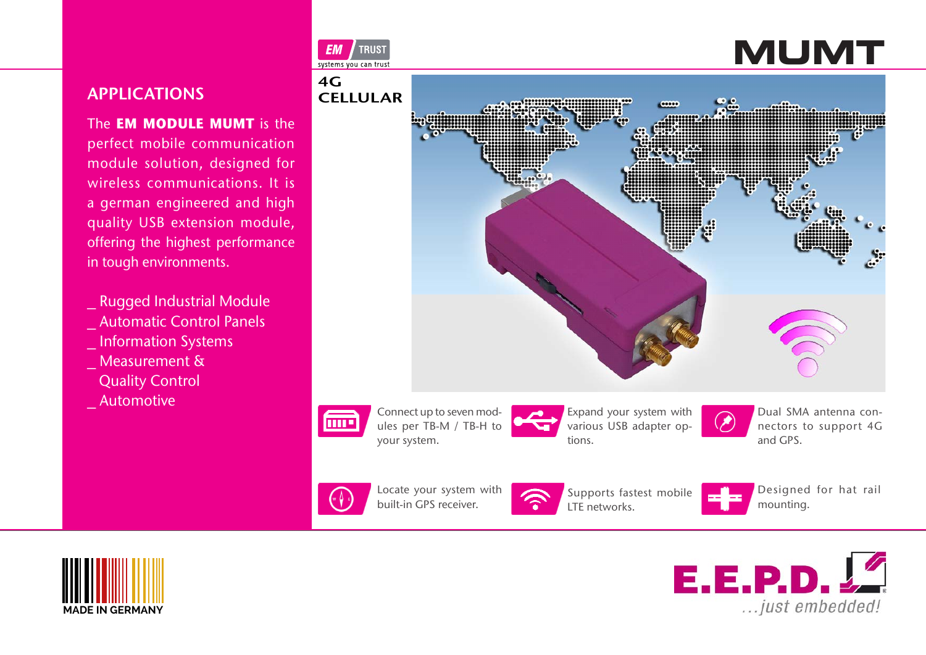# APPLICATIONS

The **EM MODULE MUMT** is the perfect mobile communication module solution, designed for wireless communications. It is a german engineered and high quality USB extension module, offering the highest performance in tough environments.

- \_ Rugged Industrial Module \_ Automatic Control Panels
- \_ Information Systems
- Measurement &
- Quality Control
- \_ Automotive







Locate your system with built-in GPS receiver.



Supports fastest mobile LTE networks.



Designed for hat rail mounting.